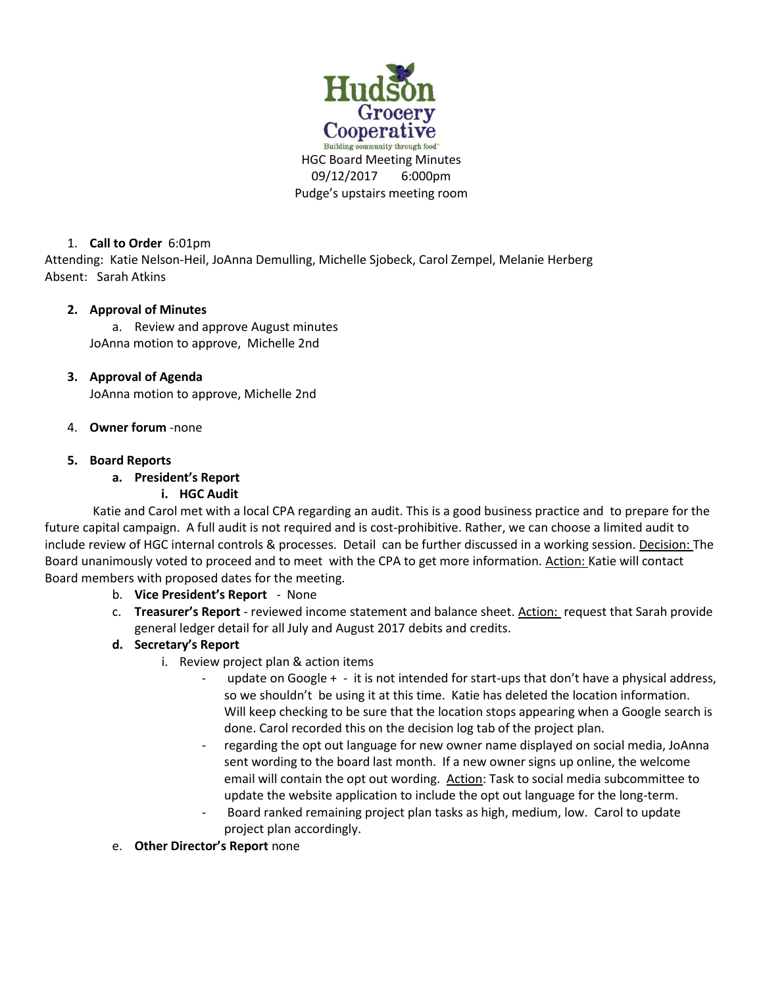

## 1. **Call to Order** 6:01pm

Attending: Katie Nelson-Heil, JoAnna Demulling, Michelle Sjobeck, Carol Zempel, Melanie Herberg Absent: Sarah Atkins

## **2. Approval of Minutes**

a. Review and approve August minutes JoAnna motion to approve, Michelle 2nd

## **3. Approval of Agenda**

JoAnna motion to approve, Michelle 2nd

4. **Owner forum** -none

## **5. Board Reports**

## **a. President's Report**

### **i. HGC Audit**

Katie and Carol met with a local CPA regarding an audit. This is a good business practice and to prepare for the future capital campaign. A full audit is not required and is cost-prohibitive. Rather, we can choose a limited audit to include review of HGC internal controls & processes. Detail can be further discussed in a working session. Decision: The Board unanimously voted to proceed and to meet with the CPA to get more information. Action: Katie will contact Board members with proposed dates for the meeting.

- b. **Vice President's Report** None
- c. **Treasurer's Report**  reviewed income statement and balance sheet. Action: request that Sarah provide general ledger detail for all July and August 2017 debits and credits.

# **d. Secretary's Report**

- i. Review project plan & action items
	- update on Google + it is not intended for start-ups that don't have a physical address, so we shouldn't be using it at this time. Katie has deleted the location information. Will keep checking to be sure that the location stops appearing when a Google search is done. Carol recorded this on the decision log tab of the project plan.
	- regarding the opt out language for new owner name displayed on social media, JoAnna sent wording to the board last month. If a new owner signs up online, the welcome email will contain the opt out wording. Action: Task to social media subcommittee to update the website application to include the opt out language for the long-term.
	- Board ranked remaining project plan tasks as high, medium, low. Carol to update project plan accordingly.
- e. **Other Director's Report** none